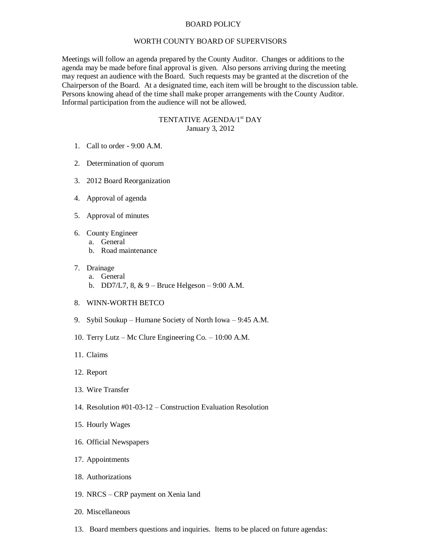## BOARD POLICY

## WORTH COUNTY BOARD OF SUPERVISORS

Meetings will follow an agenda prepared by the County Auditor. Changes or additions to the agenda may be made before final approval is given. Also persons arriving during the meeting may request an audience with the Board. Such requests may be granted at the discretion of the Chairperson of the Board. At a designated time, each item will be brought to the discussion table. Persons knowing ahead of the time shall make proper arrangements with the County Auditor. Informal participation from the audience will not be allowed.

## TENTATIVE AGENDA/1<sup>st</sup> DAY January 3, 2012

- 1. Call to order 9:00 A.M.
- 2. Determination of quorum
- 3. 2012 Board Reorganization
- 4. Approval of agenda
- 5. Approval of minutes
- 6. County Engineer
	- a. General
	- b. Road maintenance
- 7. Drainage
	- a. General
	- b. DD7/L7,  $8, \& 9$  Bruce Helgeson 9:00 A.M.
- 8. WINN-WORTH BETCO
- 9. Sybil Soukup Humane Society of North Iowa 9:45 A.M.
- 10. Terry Lutz Mc Clure Engineering Co. 10:00 A.M.
- 11. Claims
- 12. Report
- 13. Wire Transfer
- 14. Resolution #01-03-12 Construction Evaluation Resolution
- 15. Hourly Wages
- 16. Official Newspapers
- 17. Appointments
- 18. Authorizations
- 19. NRCS CRP payment on Xenia land
- 20. Miscellaneous
- 13. Board members questions and inquiries. Items to be placed on future agendas: